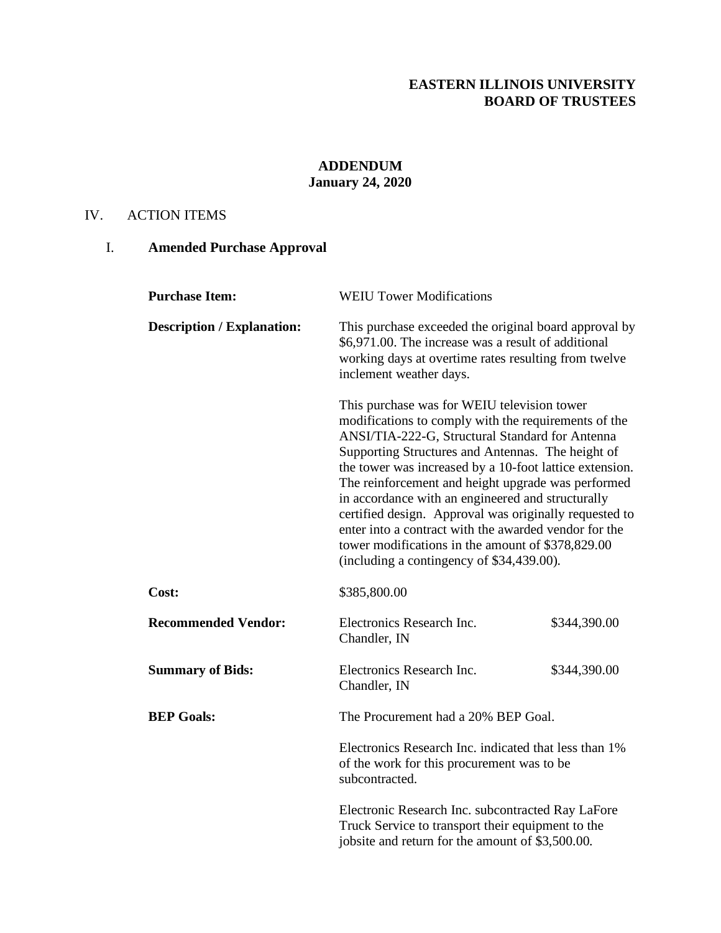## **EASTERN ILLINOIS UNIVERSITY BOARD OF TRUSTEES**

# **ADDENDUM January 24, 2020**

### IV. ACTION ITEMS

# I. **Amended Purchase Approval**

| <b>Purchase Item:</b>             | <b>WEIU Tower Modifications</b>                                                                                                                                                                                                                                                                                                                                                                                                                                                                                                                                                                        |              |
|-----------------------------------|--------------------------------------------------------------------------------------------------------------------------------------------------------------------------------------------------------------------------------------------------------------------------------------------------------------------------------------------------------------------------------------------------------------------------------------------------------------------------------------------------------------------------------------------------------------------------------------------------------|--------------|
| <b>Description / Explanation:</b> | This purchase exceeded the original board approval by<br>\$6,971.00. The increase was a result of additional<br>working days at overtime rates resulting from twelve<br>inclement weather days.                                                                                                                                                                                                                                                                                                                                                                                                        |              |
|                                   | This purchase was for WEIU television tower<br>modifications to comply with the requirements of the<br>ANSI/TIA-222-G, Structural Standard for Antenna<br>Supporting Structures and Antennas. The height of<br>the tower was increased by a 10-foot lattice extension.<br>The reinforcement and height upgrade was performed<br>in accordance with an engineered and structurally<br>certified design. Approval was originally requested to<br>enter into a contract with the awarded vendor for the<br>tower modifications in the amount of \$378,829.00<br>(including a contingency of \$34,439.00). |              |
| Cost:                             | \$385,800.00                                                                                                                                                                                                                                                                                                                                                                                                                                                                                                                                                                                           |              |
| <b>Recommended Vendor:</b>        | Electronics Research Inc.<br>Chandler, IN                                                                                                                                                                                                                                                                                                                                                                                                                                                                                                                                                              | \$344,390.00 |
| <b>Summary of Bids:</b>           | Electronics Research Inc.<br>Chandler, IN                                                                                                                                                                                                                                                                                                                                                                                                                                                                                                                                                              | \$344,390.00 |
| <b>BEP Goals:</b>                 | The Procurement had a 20% BEP Goal.<br>Electronics Research Inc. indicated that less than 1%<br>of the work for this procurement was to be<br>subcontracted.                                                                                                                                                                                                                                                                                                                                                                                                                                           |              |
|                                   |                                                                                                                                                                                                                                                                                                                                                                                                                                                                                                                                                                                                        |              |
|                                   | Electronic Research Inc. subcontracted Ray LaFore<br>Truck Service to transport their equipment to the<br>jobsite and return for the amount of \$3,500.00.                                                                                                                                                                                                                                                                                                                                                                                                                                             |              |